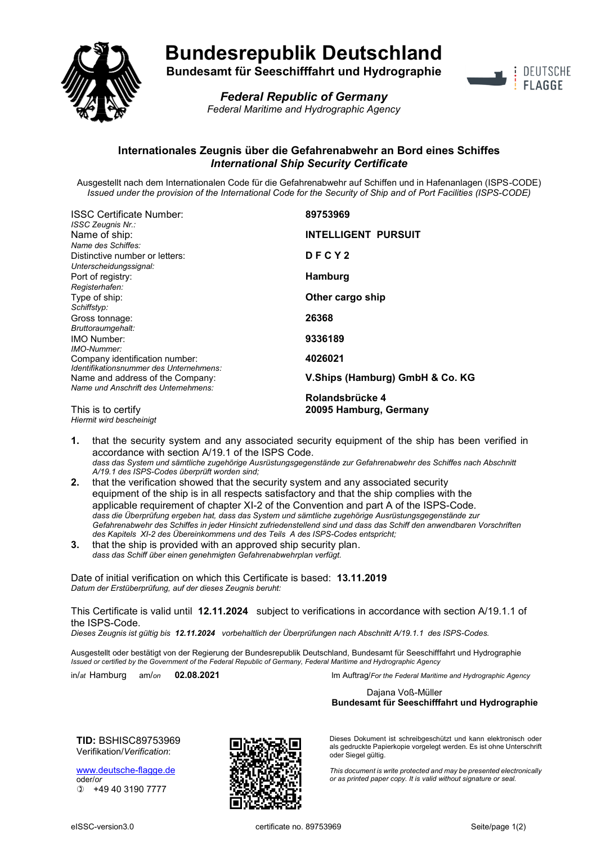

## **Bundesrepublik Deutschland**

**Bundesamt für Seeschifffahrt und Hydrographie**



*Federal Republic of Germany Federal Maritime and Hydrographic Agency*

## **Internationales Zeugnis über die Gefahrenabwehr an Bord eines Schiffes** *International Ship Security Certificate*

Ausgestellt nach dem Internationalen Code für die Gefahrenabwehr auf Schiffen und in Hafenanlagen (ISPS-CODE) *Issued under the provision of the International Code for the Security of Ship and of Port Facilities (ISPS-CODE)*

| <b>ISSC Certificate Number:</b>                                          | 89753969                        |
|--------------------------------------------------------------------------|---------------------------------|
| ISSC Zeugnis Nr.:<br>Name of ship:                                       | <b>INTELLIGENT PURSUIT</b>      |
| Name des Schiffes:                                                       |                                 |
| Distinctive number or letters:<br>Unterscheidungssignal:                 | DFCY2                           |
| Port of registry:                                                        | <b>Hamburg</b>                  |
| Registerhafen:<br>Type of ship:                                          | Other cargo ship                |
| Schiffstyp:                                                              |                                 |
| Gross tonnage:                                                           | 26368                           |
| Bruttoraumgehalt:                                                        |                                 |
| <b>IMO Number:</b><br>IMO-Nummer:                                        | 9336189                         |
| Company identification number:                                           | 4026021                         |
| Identifikationsnummer des Unternehmens:                                  | V.Ships (Hamburg) GmbH & Co. KG |
| Name and address of the Company:<br>Name und Anschrift des Unternehmens: |                                 |
|                                                                          | Rolandsbrücke 4                 |
| This is to certify                                                       | 20095 Hamburg, Germany          |

*Hiermit wird bescheinigt*

**1.** that the security system and any associated security equipment of the ship has been verified in accordance with section A/19.1 of the ISPS Code. *dass das System und sämtliche zugehörige Ausrüstungsgegenstände zur Gefahrenabwehr des Schiffes nach Abschnitt A/19.1 des ISPS-Codes überprüft worden sind;*

- **2.** that the verification showed that the security system and any associated security equipment of the ship is in all respects satisfactory and that the ship complies with the applicable requirement of chapter XI-2 of the Convention and part A of the ISPS-Code. *dass die Überprüfung ergeben hat, dass das System und sämtliche zugehörige Ausrüstungsgegenstände zur Gefahrenabwehr des Schiffes in jeder Hinsicht zufriedenstellend sind und dass das Schiff den anwendbaren Vorschriften des Kapitels XI-2 des Übereinkommens und des Teils A des ISPS-Codes entspricht;*
- **3.** that the ship is provided with an approved ship security plan. *dass das Schiff über einen genehmigten Gefahrenabwehrplan verfügt.*

Date of initial verification on which this Certificate is based: **13.11.2019** *Datum der Erstüberprüfung, auf der dieses Zeugnis beruht:*

This Certificate is valid until **12.11.2024** subject to verifications in accordance with section A/19.1.1 of the ISPS-Code.

*Dieses Zeugnis ist gültig bis 12.11.2024 vorbehaltlich der Überprüfungen nach Abschnitt A/19.1.1 des ISPS-Codes.*

Ausgestellt oder bestätigt von der Regierung der Bundesrepublik Deutschland, Bundesamt für Seeschifffahrt und Hydrographie *Issued or certified by the Government of the Federal Republic of Germany, Federal Maritime and Hydrographic Agency*

in/*at* Hamburg am/*on* **02.08.2021** Im Auftrag/*For the Federal Maritime and Hydrographic Agency*

Dajana Voß-Müller **Bundesamt für Seeschifffahrt und Hydrographie**

**TID:** BSHISC89753969 Verifikation/*Verification*:

[www.deutsche-flagge.de](http://www.deutsche-flagge.de/) oder/*or* +49 40 3190 7777



Dieses Dokument ist schreibgeschützt und kann elektronisch oder als gedruckte Papierkopie vorgelegt werden. Es ist ohne Unterschrift oder Siegel gültig.

*This document is write protected and may be presented electronically or as printed paper copy. It is valid without signature or seal.*